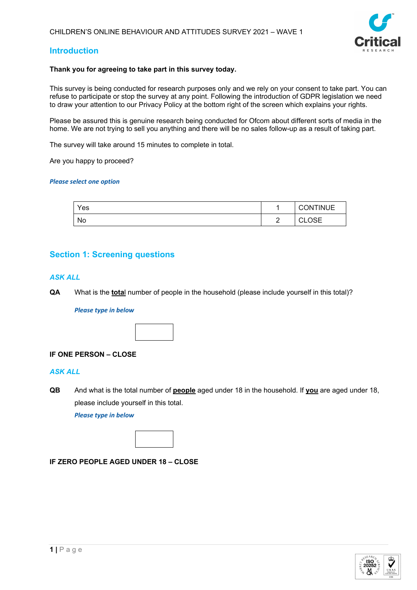

# **Introduction**

# **Thank you for agreeing to take part in this survey today.**

This survey is being conducted for research purposes only and we rely on your consent to take part. You can refuse to participate or stop the survey at any point. Following the introduction of GDPR legislation we need to draw your attention to our Privacy Policy at the bottom right of the screen which explains your rights.

Please be assured this is genuine research being conducted for Ofcom about different sorts of media in the home. We are not trying to sell you anything and there will be no sales follow-up as a result of taking part.

The survey will take around 15 minutes to complete in total.

Are you happy to proceed?

#### *Please select one option*

| Yes |                            | <b>CONTINUE</b>        |
|-----|----------------------------|------------------------|
| No  | $\overline{ }$<br><u>_</u> | ∩s⊏<br>$\sim$<br>◡∟◡◡⊏ |

# **Section 1: Screening questions**

# *ASK ALL*

**QA** What is the **tota**l number of people in the household (please include yourself in this total)?

#### *Please type in below*



# **IF ONE PERSON – CLOSE**

# *ASK ALL*

**QB** And what is the total number of **people** aged under 18 in the household. If **you** are aged under 18, please include yourself in this total.

*Please type in below*



# **IF ZERO PEOPLE AGED UNDER 18 – CLOSE**

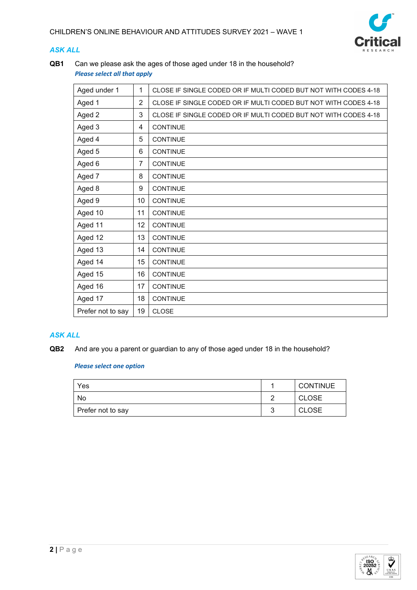

# *ASK ALL*

**QB1** Can we please ask the ages of those aged under 18 in the household? *Please select all that apply*

| Aged under 1      | 1              | CLOSE IF SINGLE CODED OR IF MULTI CODED BUT NOT WITH CODES 4-18 |
|-------------------|----------------|-----------------------------------------------------------------|
| Aged 1            | $\overline{2}$ | CLOSE IF SINGLE CODED OR IF MULTI CODED BUT NOT WITH CODES 4-18 |
| Aged 2            | 3              | CLOSE IF SINGLE CODED OR IF MULTI CODED BUT NOT WITH CODES 4-18 |
| Aged 3            | 4              | <b>CONTINUE</b>                                                 |
| Aged 4            | 5              | <b>CONTINUE</b>                                                 |
| Aged 5            | 6              | <b>CONTINUE</b>                                                 |
| Aged 6            | 7              | <b>CONTINUE</b>                                                 |
| Aged 7            | 8              | <b>CONTINUE</b>                                                 |
| Aged 8            | 9              | <b>CONTINUE</b>                                                 |
| Aged 9            | 10             | <b>CONTINUE</b>                                                 |
| Aged 10           | 11             | <b>CONTINUE</b>                                                 |
| Aged 11           | 12             | <b>CONTINUE</b>                                                 |
| Aged 12           | 13             | <b>CONTINUE</b>                                                 |
| Aged 13           | 14             | <b>CONTINUE</b>                                                 |
| Aged 14           | 15             | <b>CONTINUE</b>                                                 |
| Aged 15           | 16             | <b>CONTINUE</b>                                                 |
| Aged 16           | 17             | <b>CONTINUE</b>                                                 |
| Aged 17           | 18             | <b>CONTINUE</b>                                                 |
| Prefer not to say | 19             | <b>CLOSE</b>                                                    |

# *ASK ALL*

**QB2** And are you a parent or guardian to any of those aged under 18 in the household?

| Yes               | <b>CONTINUE</b> |
|-------------------|-----------------|
| No                | <b>CLOSE</b>    |
| Prefer not to say | <b>CLOSE</b>    |

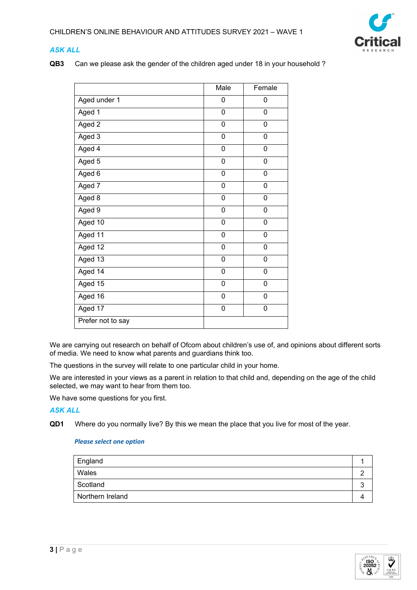

# *ASK ALL*

**QB3** Can we please ask the gender of the children aged under 18 in your household ?

|                   | Male      | Female         |
|-------------------|-----------|----------------|
| Aged under 1      | 0         | 0              |
| Aged 1            | 0         | 0              |
| Aged 2            | 0         | 0              |
| Aged 3            | 0         | $\mathbf 0$    |
| Aged 4            | 0         | $\overline{0}$ |
| Aged 5            | $\pmb{0}$ | 0              |
| Aged 6            | 0         | 0              |
| Aged 7            | 0         | 0              |
| Aged 8            | 0         | 0              |
| Aged 9            | 0         | 0              |
| Aged 10           | 0         | 0              |
| Aged 11           | 0         | $\overline{0}$ |
| Aged 12           | 0         | $\mathbf 0$    |
| Aged 13           | 0         | 0              |
| Aged 14           | 0         | 0              |
| Aged 15           | 0         | 0              |
| Aged 16           | 0         | 0              |
| Aged 17           | 0         | 0              |
| Prefer not to say |           |                |

We are carrying out research on behalf of Ofcom about children's use of, and opinions about different sorts of media. We need to know what parents and guardians think too.

The questions in the survey will relate to one particular child in your home.

We are interested in your views as a parent in relation to that child and, depending on the age of the child selected, we may want to hear from them too.

We have some questions for you first.

# *ASK ALL*

**QD1** Where do you normally live? By this we mean the place that you live for most of the year.

| England          |  |
|------------------|--|
| Wales            |  |
| Scotland         |  |
| Northern Ireland |  |
|                  |  |

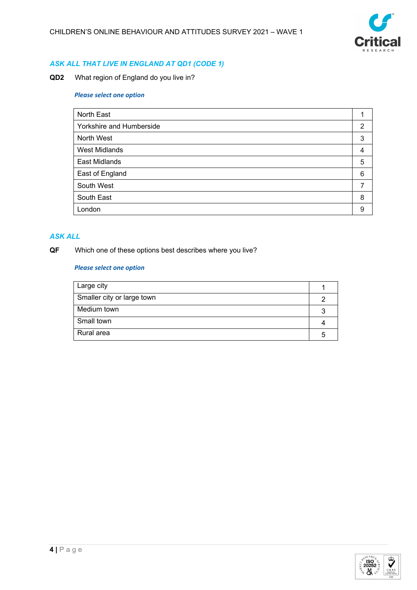

# *ASK ALL THAT LIVE IN ENGLAND AT QD1 (CODE 1)*

**QD2** What region of England do you live in?

#### *Please select one option*

| North East               |   |
|--------------------------|---|
| Yorkshire and Humberside | 2 |
| North West               | 3 |
| <b>West Midlands</b>     | 4 |
| East Midlands            | 5 |
| East of England          | 6 |
| South West               |   |
| South East               | 8 |
| London                   | 9 |

# *ASK ALL*

# **QF** Which one of these options best describes where you live?

| Large city                 |  |
|----------------------------|--|
| Smaller city or large town |  |
| Medium town                |  |
| Small town                 |  |
| Rural area                 |  |

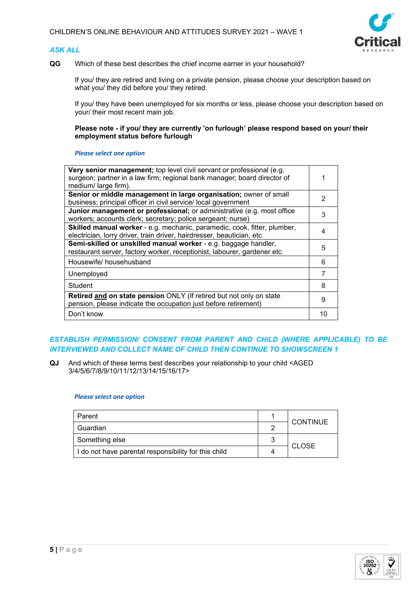# *ASK ALL*



**QG** Which of these best describes the chief income earner in your household?

If you/ they are retired and living on a private pension, please choose your description based on what you/ they did before you/ they retired.

If you/ they have been unemployed for six months or less, please choose your description based on your/ their most recent main job.

**Please note - if you/ they are currently 'on furlough' please respond based on your/ their employment status before furlough**

#### *Please select one option*

| Very senior management; top level civil servant or professional (e.g.<br>surgeon; partner in a law firm; regional bank manager; board director of<br>medium/large firm). |    |
|--------------------------------------------------------------------------------------------------------------------------------------------------------------------------|----|
| Senior or middle management in large organisation; owner of small                                                                                                        | 2  |
| business; principal officer in civil service/ local government                                                                                                           |    |
| Junior management or professional; or administrative (e.g. most office                                                                                                   |    |
| workers; accounts clerk; secretary; police sergeant; nurse)                                                                                                              | 3  |
| Skilled manual worker - e.g. mechanic, paramedic, cook, fitter, plumber,                                                                                                 |    |
| electrician, lorry driver, train driver, hairdresser, beautician, etc.                                                                                                   |    |
| Semi-skilled or unskilled manual worker - e.g. baggage handler,                                                                                                          |    |
| restaurant server, factory worker, receptionist, labourer, gardener etc.                                                                                                 | 5  |
| Housewife/househusband                                                                                                                                                   | 6  |
| Unemployed                                                                                                                                                               | 7  |
| Student                                                                                                                                                                  | 8  |
| Retired and on state pension ONLY (If retired but not only on state<br>pension, please indicate the occupation just before retirement)                                   | 9  |
| Don't know                                                                                                                                                               | 10 |
|                                                                                                                                                                          |    |

# *ESTABLISH PERMISSION/ CONSENT FROM PARENT AND CHILD (WHERE APPLICABLE) TO BE INTERVIEWED AND COLLECT NAME OF CHILD THEN CONTINUE TO SHOWSCREEN 1*

**QJ** And which of these terms best describes your relationship to your child <AGED 3/4/5/6/7/8/9/10/11/12/13/14/15/16/17>

| Parent                                               |   | <b>CONTINUE</b> |  |
|------------------------------------------------------|---|-----------------|--|
| Guardian                                             |   |                 |  |
| Something else                                       | ີ | <b>CLOSE</b>    |  |
| I do not have parental responsibility for this child |   |                 |  |

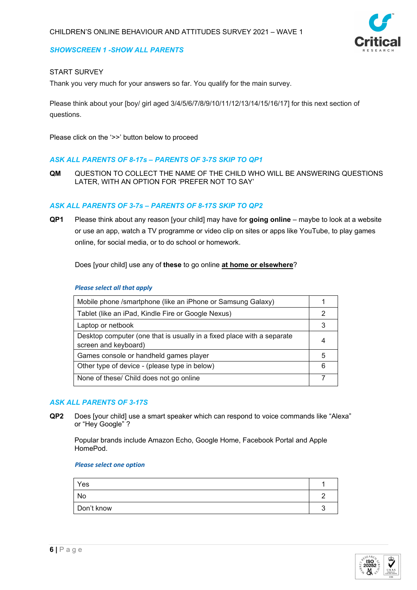# *SHOWSCREEN 1 -SHOW ALL PARENTS*

# START SURVEY

Thank you very much for your answers so far. You qualify for the main survey.

Please think about your [boy/ girl aged 3/4/5/6/7/8/9/10/11/12/13/14/15/16/17] for this next section of questions.

Please click on the '>>' button below to proceed

# *ASK ALL PARENTS OF 8-17s – PARENTS OF 3-7S SKIP TO QP1*

**QM** QUESTION TO COLLECT THE NAME OF THE CHILD WHO WILL BE ANSWERING QUESTIONS LATER, WITH AN OPTION FOR 'PREFER NOT TO SAY'

# *ASK ALL PARENTS OF 3-7s – PARENTS OF 8-17S SKIP TO QP2*

**QP1** Please think about any reason [your child] may have for **going online** – maybe to look at a website or use an app, watch a TV programme or video clip on sites or apps like YouTube, to play games online, for social media, or to do school or homework.

Does [your child] use any of **these** to go online **at home or elsewhere**?

#### *Please select all that apply*

| Mobile phone /smartphone (like an iPhone or Samsung Galaxy)                                    |    |
|------------------------------------------------------------------------------------------------|----|
| Tablet (like an iPad, Kindle Fire or Google Nexus)                                             |    |
| Laptop or netbook                                                                              |    |
| Desktop computer (one that is usually in a fixed place with a separate<br>screen and keyboard) |    |
| Games console or handheld games player                                                         | ٠h |
| Other type of device - (please type in below)                                                  |    |
| None of these/ Child does not go online                                                        |    |

# *ASK ALL PARENTS OF 3-17S*

**QP2** Does [your child] use a smart speaker which can respond to voice commands like "Alexa" or "Hey Google" ?

Popular brands include Amazon Echo, Google Home, Facebook Portal and Apple HomePod.

| Yes        |  |
|------------|--|
| No         |  |
| Don't know |  |

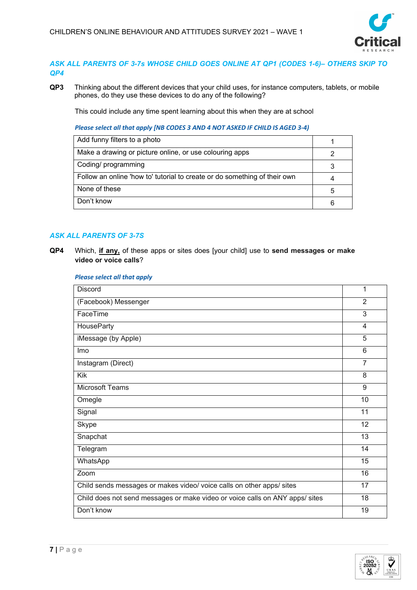

# *ASK ALL PARENTS OF 3-7s WHOSE CHILD GOES ONLINE AT QP1 (CODES 1-6)– OTHERS SKIP TO QP4*

**QP3** Thinking about the different devices that your child uses, for instance computers, tablets, or mobile phones, do they use these devices to do any of the following?

This could include any time spent learning about this when they are at school

*Please select all that apply [NB CODES 3 AND 4 NOT ASKED IF CHILD IS AGED 3-4)*

| Add funny filters to a photo                                              |  |
|---------------------------------------------------------------------------|--|
| Make a drawing or picture online, or use colouring apps                   |  |
| Coding/ programming                                                       |  |
| Follow an online 'how to' tutorial to create or do something of their own |  |
| None of these                                                             |  |
| Don't know                                                                |  |

# *ASK ALL PARENTS OF 3-7S*

**QP4** Which, **if any,** of these apps or sites does [your child] use to **send messages or make video or voice calls**?

#### *Please select all that apply*

| <b>Discord</b>                                                               | 1              |
|------------------------------------------------------------------------------|----------------|
| (Facebook) Messenger                                                         | $\overline{2}$ |
| FaceTime                                                                     | 3              |
| <b>HouseParty</b>                                                            | 4              |
| iMessage (by Apple)                                                          | 5              |
| Imo                                                                          | 6              |
| Instagram (Direct)                                                           | $\overline{7}$ |
| <b>Kik</b>                                                                   | 8              |
| <b>Microsoft Teams</b>                                                       | 9              |
| Omegle                                                                       | 10             |
| Signal                                                                       | 11             |
| Skype                                                                        | 12             |
| Snapchat                                                                     | 13             |
| Telegram                                                                     | 14             |
| WhatsApp                                                                     | 15             |
| Zoom                                                                         | 16             |
| Child sends messages or makes video/ voice calls on other apps/ sites        | 17             |
| Child does not send messages or make video or voice calls on ANY apps/ sites | 18             |
| Don't know                                                                   | 19             |

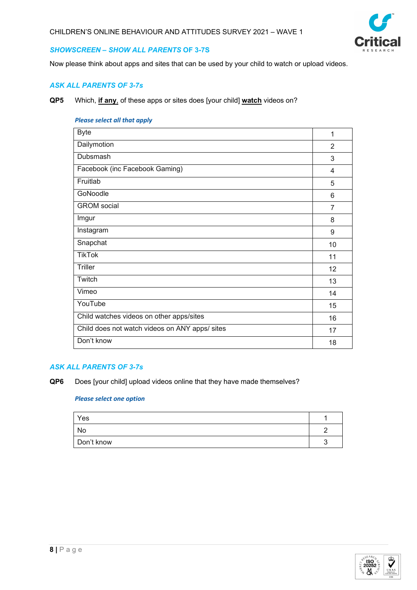

# *SHOWSCREEN – SHOW ALL PARENTS* **OF 3-7S**

Now please think about apps and sites that can be used by your child to watch or upload videos.

# *ASK ALL PARENTS OF 3-7s*

**QP5** Which, **if any**, of these apps or sites does [your child] **watch** videos on?

#### *Please select all that apply*

| <b>Byte</b>                                    | 1  |
|------------------------------------------------|----|
|                                                |    |
| Dailymotion                                    | 2  |
| Dubsmash                                       | 3  |
| Facebook (inc Facebook Gaming)                 | 4  |
| Fruitlab                                       | 5  |
| GoNoodle                                       | 6  |
| <b>GROM</b> social                             | 7  |
| Imgur                                          | 8  |
| Instagram                                      | 9  |
| Snapchat                                       | 10 |
| <b>TikTok</b>                                  | 11 |
| <b>Triller</b>                                 | 12 |
| Twitch                                         | 13 |
| Vimeo                                          | 14 |
| YouTube                                        | 15 |
| Child watches videos on other apps/sites       | 16 |
| Child does not watch videos on ANY apps/ sites | 17 |
| Don't know                                     | 18 |
|                                                |    |

# *ASK ALL PARENTS OF 3-7s*

**QP6** Does [your child] upload videos online that they have made themselves?

| Yes        |  |
|------------|--|
| No         |  |
| Don't know |  |

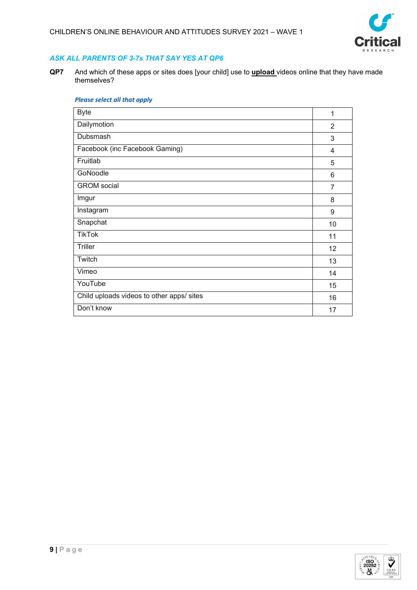

# *ASK ALL PARENTS OF 3-7s THAT SAY YES AT QP6*

**QP7** And which of these apps or sites does [your child] use to **upload** videos online that they have made themselves?

| <b>Byte</b>                               | 1              |
|-------------------------------------------|----------------|
| Dailymotion                               | 2              |
| Dubsmash                                  | 3              |
| Facebook (inc Facebook Gaming)            | 4              |
| Fruitlab                                  | 5              |
| GoNoodle                                  | 6              |
| <b>GROM</b> social                        | $\overline{7}$ |
| Imgur                                     | 8              |
| Instagram                                 | 9              |
| Snapchat                                  | 10             |
| <b>TikTok</b>                             | 11             |
| <b>Triller</b>                            | 12             |
| Twitch                                    | 13             |
| Vimeo                                     | 14             |
| YouTube                                   | 15             |
| Child uploads videos to other apps/ sites | 16             |
| Don't know                                | 17             |

#### *Please select all that apply*

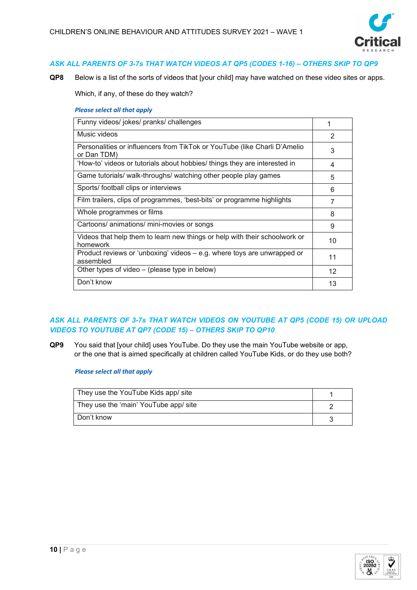

# *ASK ALL PARENTS OF 3-7s THAT WATCH VIDEOS AT QP5 (CODES 1-16) – OTHERS SKIP TO QP9*

**QP8** Below is a list of the sorts of videos that [your child] may have watched on these video sites or apps.

Which, if any, of these do they watch?

#### *Please select all that apply*

| Funny videos/ jokes/ pranks/ challenges                                                  | 1  |
|------------------------------------------------------------------------------------------|----|
| Music videos                                                                             | 2  |
| Personalities or influencers from TikTok or YouTube (like Charli D'Amelio<br>or Dan TDM) | 3  |
| 'How-to' videos or tutorials about hobbies/ things they are interested in                | 4  |
| Game tutorials/ walk-throughs/ watching other people play games                          | 5  |
| Sports/ football clips or interviews                                                     | 6  |
| Film trailers, clips of programmes, 'best-bits' or programme highlights                  | 7  |
| Whole programmes or films                                                                | 8  |
| Cartoons/ animations/ mini-movies or songs                                               | 9  |
| Videos that help them to learn new things or help with their schoolwork or<br>homework   | 10 |
| Product reviews or 'unboxing' videos - e.g. where toys are unwrapped or<br>assembled     | 11 |
| Other types of video – (please type in below)                                            | 12 |
| Don't know                                                                               | 13 |

# *ASK ALL PARENTS OF 3-7s THAT WATCH VIDEOS ON YOUTUBE AT QP5 (CODE 15) OR UPLOAD VIDEOS TO YOUTUBE AT QP7 (CODE 15) – OTHERS SKIP TO QP10*

**QP9** You said that [your child] uses YouTube. Do they use the main YouTube website or app, or the one that is aimed specifically at children called YouTube Kids, or do they use both?

*Please select all that apply*

| They use the YouTube Kids app/ site   |  |
|---------------------------------------|--|
| They use the 'main' YouTube app/ site |  |
| Don't know                            |  |

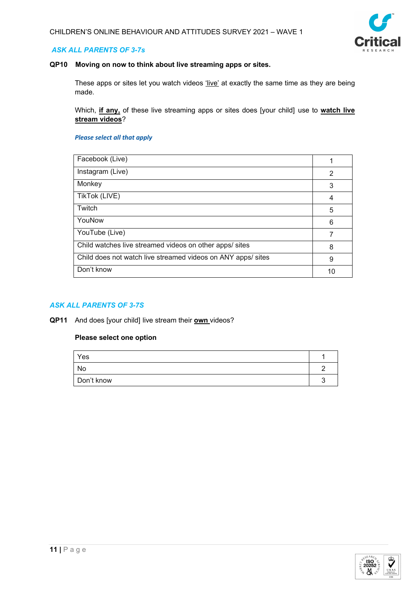

# *ASK ALL PARENTS OF 3-7s*

# **QP10 Moving on now to think about live streaming apps or sites.**

These apps or sites let you watch videos 'live' at exactly the same time as they are being made.

Which, **if any,** of these live streaming apps or sites does [your child] use to **watch live stream videos**?

#### *Please select all that apply*

| Facebook (Live)                                              |   |
|--------------------------------------------------------------|---|
| Instagram (Live)                                             | 2 |
| Monkey                                                       | 3 |
| TikTok (LIVE)                                                | 4 |
| Twitch                                                       | 5 |
| YouNow                                                       | 6 |
| YouTube (Live)                                               |   |
| Child watches live streamed videos on other apps/ sites      | 8 |
| Child does not watch live streamed videos on ANY apps/ sites | 9 |
| Don't know                                                   |   |

# *ASK ALL PARENTS OF 3-7S*

**QP11** And does [your child] live stream their **own** videos?

| Yes        |  |
|------------|--|
| No         |  |
| Don't know |  |

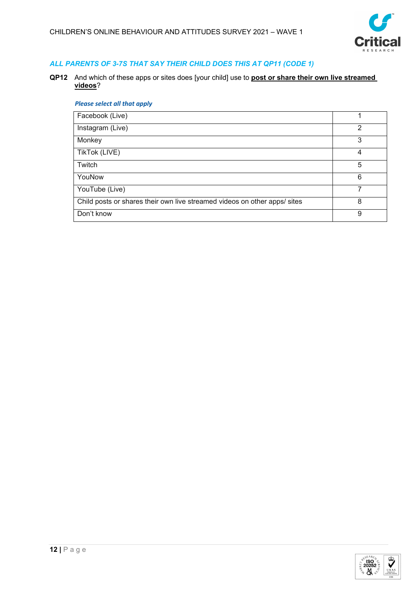

# *ALL PARENTS OF 3-7S THAT SAY THEIR CHILD DOES THIS AT QP11 (CODE 1)*

**QP12** And which of these apps or sites does [your child] use to **post or share their own live streamed videos**?

# *Please select all that apply*

| Facebook (Live)                                                           |   |
|---------------------------------------------------------------------------|---|
| Instagram (Live)                                                          | 2 |
| Monkey                                                                    | 3 |
| TikTok (LIVE)                                                             | 4 |
| Twitch                                                                    | 5 |
| YouNow                                                                    | 6 |
| YouTube (Live)                                                            |   |
| Child posts or shares their own live streamed videos on other apps/ sites | 8 |
| Don't know                                                                | 9 |

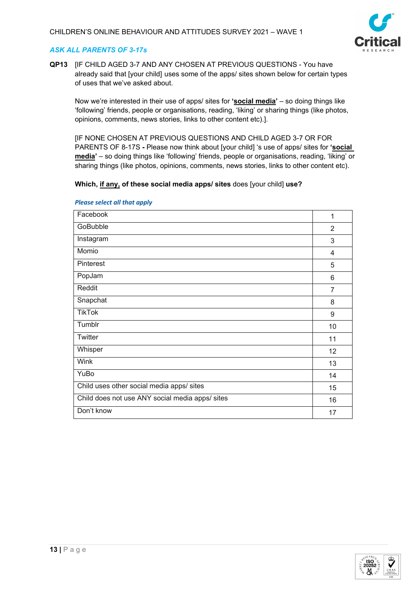

# *ASK ALL PARENTS OF 3-17s*

**QP13** [IF CHILD AGED 3-7 AND ANY CHOSEN AT PREVIOUS QUESTIONS - You have already said that [your child] uses some of the apps/ sites shown below for certain types of uses that we've asked about.

Now we're interested in their use of apps/ sites for **'social media'** – so doing things like 'following' friends, people or organisations, reading, 'liking' or sharing things (like photos, opinions, comments, news stories, links to other content etc).].

[IF NONE CHOSEN AT PREVIOUS QUESTIONS AND CHILD AGED 3-7 OR FOR PARENTS OF 8-17S **-** Please now think about [your child] 's use of apps/ sites for **'social media'** – so doing things like 'following' friends, people or organisations, reading, 'liking' or sharing things (like photos, opinions, comments, news stories, links to other content etc).

# **Which, if any, of these social media apps/ sites** does [your child] **use?**

| Facebook                                        | 1              |
|-------------------------------------------------|----------------|
| GoBubble                                        | $\overline{2}$ |
| Instagram                                       | 3              |
| Momio                                           | 4              |
| Pinterest                                       | 5              |
| PopJam                                          | 6              |
| Reddit                                          | 7              |
| Snapchat                                        | 8              |
| <b>TikTok</b>                                   | 9              |
| Tumblr                                          | 10             |
| Twitter                                         | 11             |
| Whisper                                         | 12             |
| <b>Wink</b>                                     | 13             |
| YuBo                                            | 14             |
| Child uses other social media apps/ sites       | 15             |
| Child does not use ANY social media apps/ sites | 16             |
| Don't know                                      | 17             |
|                                                 |                |

#### *Please select all that apply*

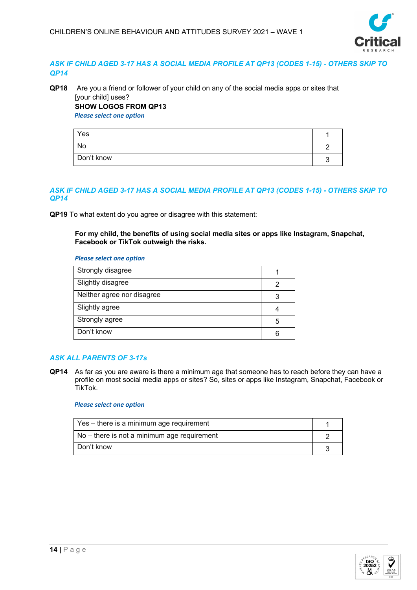

# *ASK IF CHILD AGED 3-17 HAS A SOCIAL MEDIA PROFILE AT QP13 (CODES 1-15) - OTHERS SKIP TO QP14*

# **QP18** Are you a friend or follower of your child on any of the social media apps or sites that [your child] uses? **SHOW LOGOS FROM QP13**

*Please select one option*

| Yes        |  |
|------------|--|
| No         |  |
| Don't know |  |

# *ASK IF CHILD AGED 3-17 HAS A SOCIAL MEDIA PROFILE AT QP13 (CODES 1-15) - OTHERS SKIP TO QP14*

**QP19** To what extent do you agree or disagree with this statement:

#### **For my child, the benefits of using social media sites or apps like Instagram, Snapchat, Facebook or TikTok outweigh the risks.**

*Please select one option*

| Strongly disagree          |   |
|----------------------------|---|
| Slightly disagree          |   |
| Neither agree nor disagree |   |
| Slightly agree             |   |
| Strongly agree             | 5 |
| Don't know                 |   |

# *ASK ALL PARENTS OF 3-17s*

**QP14** As far as you are aware is there a minimum age that someone has to reach before they can have a profile on most social media apps or sites? So, sites or apps like Instagram, Snapchat, Facebook or TikTok.

| Yes – there is a minimum age requirement    |  |
|---------------------------------------------|--|
| No – there is not a minimum age requirement |  |
| Don't know                                  |  |

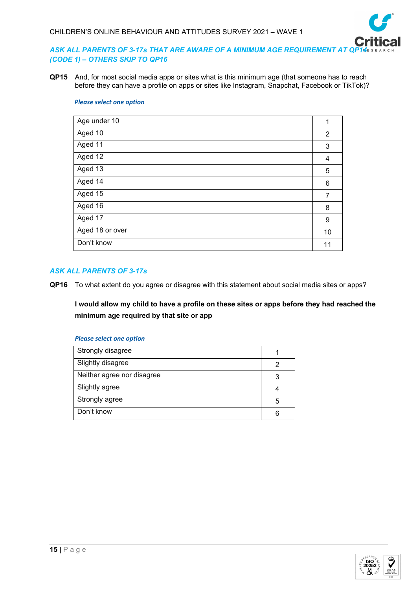

# ASK ALL PARENTS OF 3-17s THAT ARE AWARE OF A MINIMUM AGE REQUIREMENT AT QP *(CODE 1) – OTHERS SKIP TO QP16*

**QP15** And, for most social media apps or sites what is this minimum age (that someone has to reach before they can have a profile on apps or sites like Instagram, Snapchat, Facebook or TikTok)?

#### *Please select one option*

| Age under 10    | 1  |
|-----------------|----|
| Aged 10         | 2  |
| Aged 11         | 3  |
| Aged 12         | 4  |
| Aged 13         | 5  |
| Aged 14         | 6  |
| Aged 15         | 7  |
| Aged 16         | 8  |
| Aged 17         | 9  |
| Aged 18 or over | 10 |
| Don't know      | 11 |
|                 |    |

# *ASK ALL PARENTS OF 3-17s*

**QP16** To what extent do you agree or disagree with this statement about social media sites or apps?

**I would allow my child to have a profile on these sites or apps before they had reached the minimum age required by that site or app**

| Strongly disagree          |   |
|----------------------------|---|
| Slightly disagree          |   |
| Neither agree nor disagree | 3 |
| Slightly agree             |   |
| Strongly agree             | 5 |
| Don't know                 | 6 |

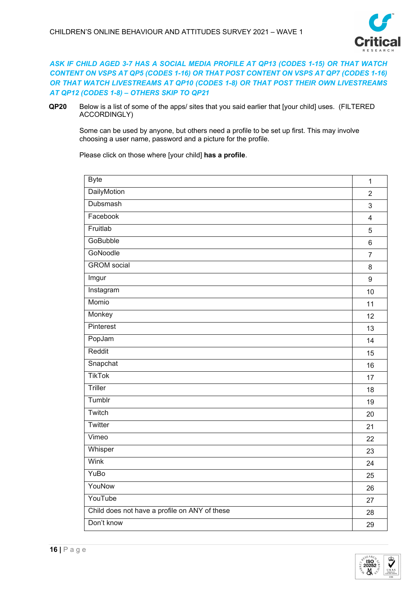

# *ASK IF CHILD AGED 3-7 HAS A SOCIAL MEDIA PROFILE AT QP13 (CODES 1-15) OR THAT WATCH CONTENT ON VSPS AT QP5 (CODES 1-16) OR THAT POST CONTENT ON VSPS AT QP7 (CODES 1-16) OR THAT WATCH LIVESTREAMS AT QP10 (CODES 1-8) OR THAT POST THEIR OWN LIVESTREAMS AT QP12 (CODES 1-8) – OTHERS SKIP TO QP21*

**QP20** Below is a list of some of the apps/ sites that you said earlier that [your child] uses. (FILTERED ACCORDINGLY)

Some can be used by anyone, but others need a profile to be set up first. This may involve choosing a user name, password and a picture for the profile.

Please click on those where [your child] **has a profile**.

| <b>Byte</b>                                   | $\mathbf{1}$            |
|-----------------------------------------------|-------------------------|
| <b>DailyMotion</b>                            | $\overline{2}$          |
| Dubsmash                                      | $\mathsf 3$             |
| Facebook                                      | $\overline{\mathbf{4}}$ |
| Fruitlab                                      | 5                       |
| <b>GoBubble</b>                               | $\,6\,$                 |
| GoNoodle                                      | $\overline{7}$          |
| <b>GROM</b> social                            | 8                       |
| Imgur                                         | $\boldsymbol{9}$        |
| Instagram                                     | 10                      |
| Momio                                         | 11                      |
| Monkey                                        | 12                      |
| Pinterest                                     | 13                      |
| PopJam                                        | 14                      |
| Reddit                                        | 15                      |
| Snapchat                                      | 16                      |
| <b>TikTok</b>                                 | 17                      |
| Triller                                       | 18                      |
| Tumblr                                        | 19                      |
| Twitch                                        | 20                      |
| Twitter                                       | 21                      |
| Vimeo                                         | 22                      |
| Whisper                                       | 23                      |
| Wink                                          | 24                      |
| YuBo                                          | 25                      |
| YouNow                                        | 26                      |
| YouTube                                       | 27                      |
| Child does not have a profile on ANY of these | 28                      |
| Don't know                                    | 29                      |

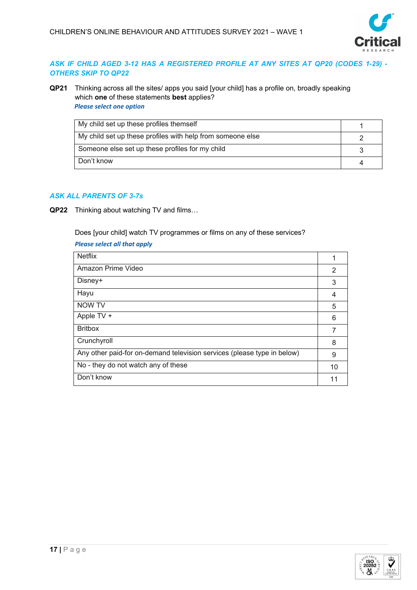

# *ASK IF CHILD AGED 3-12 HAS A REGISTERED PROFILE AT ANY SITES AT QP20 (CODES 1-29) - OTHERS SKIP TO QP22*

**QP21** Thinking across all the sites/ apps you said [your child] has a profile on, broadly speaking which **one** of these statements **best** applies? *Please select one option*

| My child set up these profiles themself                    |  |
|------------------------------------------------------------|--|
| My child set up these profiles with help from someone else |  |
| Someone else set up these profiles for my child            |  |
| Don't know                                                 |  |

# *ASK ALL PARENTS OF 3-7s*

**QP22** Thinking about watching TV and films…

Does [your child] watch TV programmes or films on any of these services?

# *Please select all that apply*

| <b>Netflix</b>                                                          |    |
|-------------------------------------------------------------------------|----|
| Amazon Prime Video                                                      | 2  |
| Disney+                                                                 | 3  |
| Hayu                                                                    | 4  |
| NOW TV                                                                  | 5  |
| Apple TV +                                                              | 6  |
| <b>Britbox</b>                                                          | 7  |
| Crunchyroll                                                             | 8  |
| Any other paid-for on-demand television services (please type in below) | 9  |
| No - they do not watch any of these                                     | 10 |
| Don't know                                                              |    |

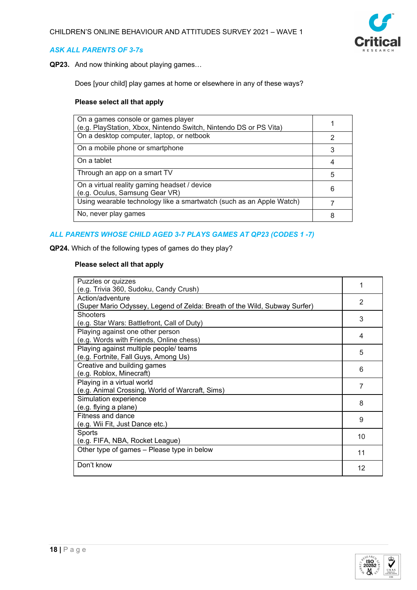

# *ASK ALL PARENTS OF 3-7s*

**QP23.** And now thinking about playing games…

Does [your child] play games at home or elsewhere in any of these ways?

#### **Please select all that apply**

| On a games console or games player<br>(e.g. PlayStation, Xbox, Nintendo Switch, Nintendo DS or PS Vita) |   |
|---------------------------------------------------------------------------------------------------------|---|
| On a desktop computer, laptop, or netbook                                                               | 2 |
| On a mobile phone or smartphone                                                                         | 3 |
| On a tablet                                                                                             |   |
| Through an app on a smart TV                                                                            | 5 |
| On a virtual reality gaming headset / device<br>(e.g. Oculus, Samsung Gear VR)                          | 6 |
| Using wearable technology like a smartwatch (such as an Apple Watch)                                    |   |
| No, never play games                                                                                    | 8 |

# *ALL PARENTS WHOSE CHILD AGED 3-7 PLAYS GAMES AT QP23 (CODES 1 -7)*

**QP24.** Which of the following types of games do they play?

# **Please select all that apply**

| Puzzles or quizzes                                                        |    |
|---------------------------------------------------------------------------|----|
| (e.g. Trivia 360, Sudoku, Candy Crush)                                    |    |
| Action/adventure                                                          | 2  |
| (Super Mario Odyssey, Legend of Zelda: Breath of the Wild, Subway Surfer) |    |
| <b>Shooters</b>                                                           | 3  |
| (e.g. Star Wars: Battlefront, Call of Duty)                               |    |
| Playing against one other person                                          | 4  |
| (e.g. Words with Friends, Online chess)                                   |    |
| Playing against multiple people/ teams                                    | 5  |
| (e.g. Fortnite, Fall Guys, Among Us)                                      |    |
| Creative and building games                                               | 6  |
| (e.g. Roblox, Minecraft)                                                  |    |
| Playing in a virtual world                                                | 7  |
| (e.g. Animal Crossing, World of Warcraft, Sims)                           |    |
| Simulation experience                                                     | 8  |
| (e.g. flying a plane)                                                     |    |
| Fitness and dance                                                         | 9  |
| (e.g. Wii Fit, Just Dance etc.)                                           |    |
| Sports                                                                    | 10 |
| (e.g. FIFA, NBA, Rocket League)                                           |    |
| Other type of games - Please type in below                                | 11 |
| Don't know                                                                | 12 |

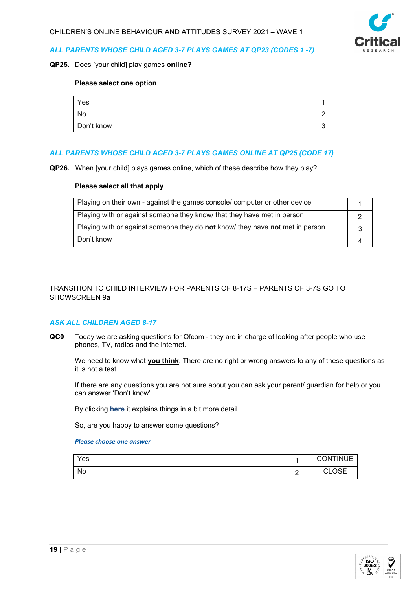

# *ALL PARENTS WHOSE CHILD AGED 3-7 PLAYS GAMES AT QP23 (CODES 1 -7)*

#### **QP25.** Does [your child] play games **online?**

#### **Please select one option**

| Yes        |  |
|------------|--|
| No         |  |
| Don't know |  |

# *ALL PARENTS WHOSE CHILD AGED 3-7 PLAYS GAMES ONLINE AT QP25 (CODE 17)*

**QP26.** When [your child] plays games online, which of these describe how they play?

#### **Please select all that apply**

| Playing on their own - against the games console/ computer or other device    |  |
|-------------------------------------------------------------------------------|--|
| Playing with or against someone they know that they have met in person        |  |
| Playing with or against someone they do not know/ they have not met in person |  |
| Don't know                                                                    |  |

# TRANSITION TO CHILD INTERVIEW FOR PARENTS OF 8-17S – PARENTS OF 3-7S GO TO SHOWSCREEN 9a

# *ASK ALL CHILDREN AGED 8-17*

**QC0** Today we are asking questions for Ofcom - they are in charge of looking after people who use phones, TV, radios and the internet.

We need to know what **you think**. There are no right or wrong answers to any of these questions as it is not a test.

If there are any questions you are not sure about you can ask your parent/ guardian for help or you can answer 'Don't know'.

By clicking **here** it explains things in a bit more detail.

So, are you happy to answer some questions?

| Yes |  | <b>CONTINUE</b>                         |
|-----|--|-----------------------------------------|
| No. |  | $\cap$ e $\sqsubset$<br>$\sim$<br>◡∟◡◡⊏ |

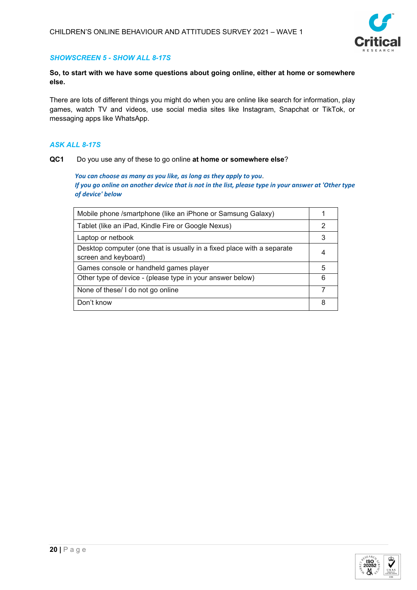

# *SHOWSCREEN 5 - SHOW ALL 8-17S*

# **So, to start with we have some questions about going online, either at home or somewhere else.**

There are lots of different things you might do when you are online like search for information, play games, watch TV and videos, use social media sites like Instagram, Snapchat or TikTok, or messaging apps like WhatsApp.

# *ASK ALL 8-17S*

#### **QC1** Do you use any of these to go online **at home or somewhere else**?

*You can choose as many as you like, as long as they apply to you*. *If you go online on another device that is not in the list, please type in your answer at 'Other type of device' below*

| Mobile phone /smartphone (like an iPhone or Samsung Galaxy)                                    |   |
|------------------------------------------------------------------------------------------------|---|
| Tablet (like an iPad, Kindle Fire or Google Nexus)                                             | 2 |
| Laptop or netbook                                                                              | 3 |
| Desktop computer (one that is usually in a fixed place with a separate<br>screen and keyboard) | 4 |
| Games console or handheld games player                                                         | 5 |
| Other type of device - (please type in your answer below)                                      | 6 |
| None of these/ I do not go online                                                              |   |
| Don't know                                                                                     | 8 |

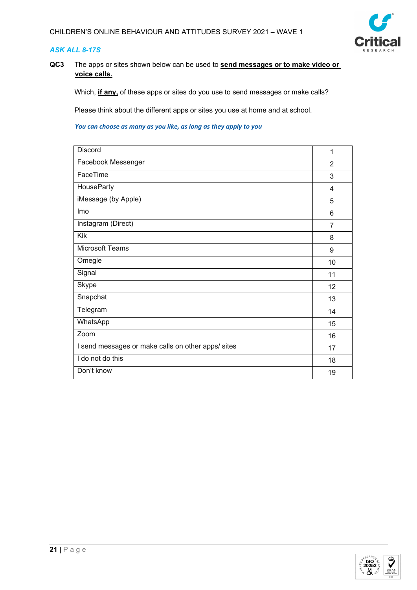

# *ASK ALL 8-17S*

**QC3** The apps or sites shown below can be used to **send messages or to make video or voice calls.**

Which, **if any,** of these apps or sites do you use to send messages or make calls?

Please think about the different apps or sites you use at home and at school.

| <b>Discord</b>                                     | 1              |
|----------------------------------------------------|----------------|
| Facebook Messenger                                 | $\overline{2}$ |
| FaceTime                                           | 3              |
| <b>HouseParty</b>                                  | 4              |
| iMessage (by Apple)                                | 5              |
| Imo                                                | 6              |
| Instagram (Direct)                                 | 7              |
| Kik                                                | 8              |
| <b>Microsoft Teams</b>                             | 9              |
| Omegle                                             | 10             |
| Signal                                             | 11             |
| Skype                                              | 12             |
| Snapchat                                           | 13             |
| Telegram                                           | 14             |
| WhatsApp                                           | 15             |
| Zoom                                               | 16             |
| I send messages or make calls on other apps/ sites | 17             |
| I do not do this                                   | 18             |
| Don't know                                         | 19             |

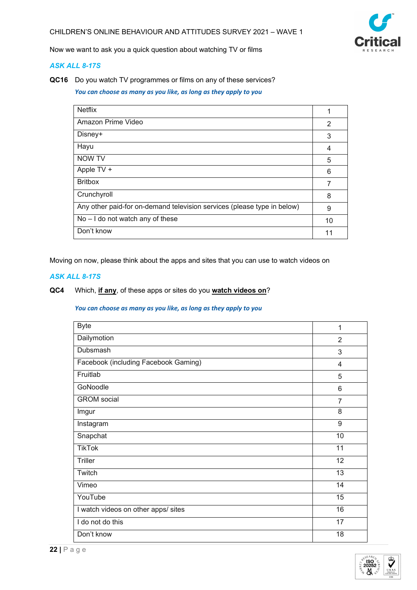

Now we want to ask you a quick question about watching TV or films

# *ASK ALL 8-17S*

**QC16** Do you watch TV programmes or films on any of these services?

*You can choose as many as you like, as long as they apply to you*

| <b>Netflix</b>                                                          | 1  |
|-------------------------------------------------------------------------|----|
| Amazon Prime Video                                                      | 2  |
| Disney+                                                                 | 3  |
| Hayu                                                                    | 4  |
| <b>NOW TV</b>                                                           | 5  |
| Apple TV +                                                              | 6  |
| <b>Britbox</b>                                                          | 7  |
| Crunchyroll                                                             | 8  |
| Any other paid-for on-demand television services (please type in below) | 9  |
| $No - I$ do not watch any of these                                      | 10 |
| Don't know                                                              | 11 |

Moving on now, please think about the apps and sites that you can use to watch videos on

# *ASK ALL 8-17S*

# **QC4** Which, **if any**, of these apps or sites do you **watch videos on**?

| <b>Byte</b>                          | 1               |
|--------------------------------------|-----------------|
| Dailymotion                          | 2               |
| Dubsmash                             | 3               |
| Facebook (including Facebook Gaming) | $\overline{4}$  |
| Fruitlab                             | 5               |
| GoNoodle                             | 6               |
| <b>GROM</b> social                   | $\overline{7}$  |
| Imgur                                | 8               |
| Instagram                            | 9               |
| Snapchat                             | 10              |
| <b>TikTok</b>                        | 11              |
| <b>Triller</b>                       | 12              |
| Twitch                               | $\overline{13}$ |
| Vimeo                                | 14              |
| YouTube                              | 15              |
| I watch videos on other apps/ sites  | 16              |
| I do not do this                     | 17              |
| Don't know                           | 18              |

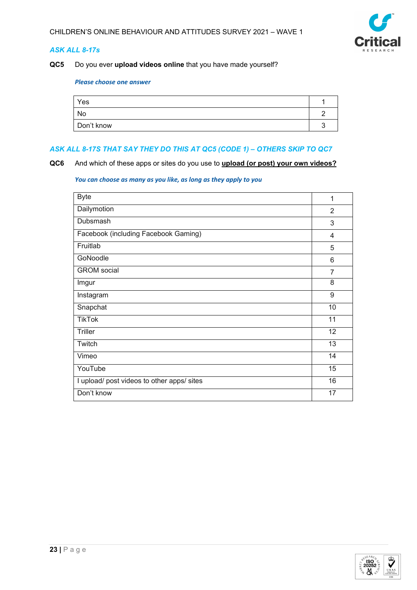

# *ASK ALL 8-17s*

# **QC5** Do you ever **upload videos online** that you have made yourself?

#### *Please choose one answer*

| Yes        |  |
|------------|--|
| No         |  |
| Don't know |  |

# *ASK ALL 8-17S THAT SAY THEY DO THIS AT QC5 (CODE 1) – OTHERS SKIP TO QC7*

**QC6** And which of these apps or sites do you use to **upload (or post) your own videos?**

| <b>Byte</b>                                | 1              |
|--------------------------------------------|----------------|
| Dailymotion                                | $\overline{2}$ |
| Dubsmash                                   | 3              |
| Facebook (including Facebook Gaming)       | 4              |
| Fruitlab                                   | 5              |
| GoNoodle                                   | 6              |
| <b>GROM</b> social                         | $\overline{7}$ |
| Imgur                                      | 8              |
| Instagram                                  | 9              |
| Snapchat                                   | 10             |
| <b>TikTok</b>                              | 11             |
| Triller                                    | 12             |
| Twitch                                     | 13             |
| Vimeo                                      | 14             |
| YouTube                                    | 15             |
| I upload/ post videos to other apps/ sites | 16             |
| Don't know                                 | 17             |

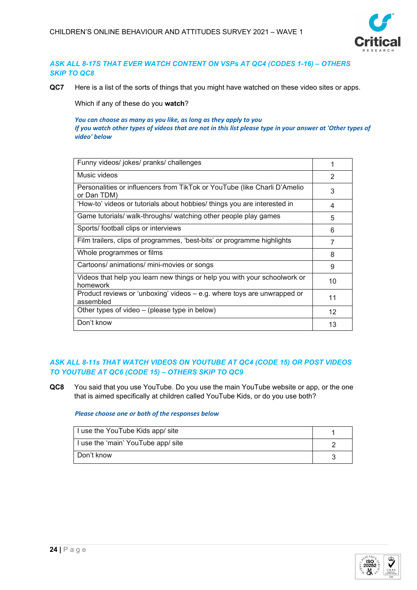

# *ASK ALL 8-17S THAT EVER WATCH CONTENT ON VSPs AT QC4 (CODES 1-16) – OTHERS SKIP TO QC8*

**QC7** Here is a list of the sorts of things that you might have watched on these video sites or apps.

Which if any of these do you **watch**?

*You can choose as many as you like, as long as they apply to you If you watch other types of videos that are not in this list please type in your answer at 'Other types of video' below*

| Funny videos/ jokes/ pranks/ challenges                                                  |    |
|------------------------------------------------------------------------------------------|----|
| Music videos                                                                             | 2  |
| Personalities or influencers from TikTok or YouTube (like Charli D'Amelio<br>or Dan TDM) | 3  |
| 'How-to' videos or tutorials about hobbies/ things you are interested in                 | 4  |
| Game tutorials/ walk-throughs/ watching other people play games                          | 5  |
| Sports/ football clips or interviews                                                     | 6  |
| Film trailers, clips of programmes, 'best-bits' or programme highlights                  | 7  |
| Whole programmes or films                                                                | 8  |
| Cartoons/ animations/ mini-movies or songs                                               | 9  |
| Videos that help you learn new things or help you with your schoolwork or<br>homework    | 10 |
| Product reviews or 'unboxing' videos - e.g. where toys are unwrapped or<br>assembled     | 11 |
| Other types of video – (please type in below)                                            | 12 |
| Don't know                                                                               | 13 |

# *ASK ALL 8-11s THAT WATCH VIDEOS ON YOUTUBE AT QC4 (CODE 15) OR POST VIDEOS TO YOUTUBE AT QC6 (CODE 15) – OTHERS SKIP TO QC9*

**QC8** You said that you use YouTube. Do you use the main YouTube website or app, or the one that is aimed specifically at children called YouTube Kids, or do you use both?

# *Please choose one or both of the responses below*

| I use the YouTube Kids app/ site   |  |
|------------------------------------|--|
| I use the 'main' YouTube app/ site |  |
| Don't know                         |  |

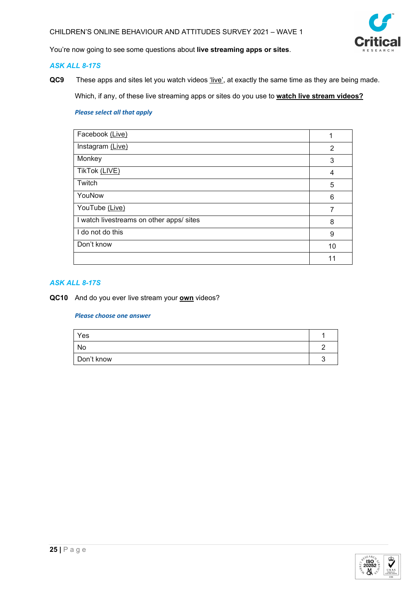

You're now going to see some questions about **live streaming apps or sites**.

# *ASK ALL 8-17S*

**QC9** These apps and sites let you watch videos 'live', at exactly the same time as they are being made.

Which, if any, of these live streaming apps or sites do you use to **watch live stream videos?**

# *Please select all that apply*

| Facebook (Live)                          |    |
|------------------------------------------|----|
| Instagram (Live)                         | 2  |
| Monkey                                   | 3  |
| TikTok (LIVE)                            | 4  |
| Twitch                                   | 5  |
| YouNow                                   | 6  |
| YouTube (Live)                           | 7  |
| I watch livestreams on other apps/ sites | 8  |
| I do not do this                         | 9  |
| Don't know                               | 10 |
|                                          | 11 |

# *ASK ALL 8-17S*

**QC10** And do you ever live stream your **own** videos?

| Yes        |  |
|------------|--|
| No         |  |
| Don't know |  |

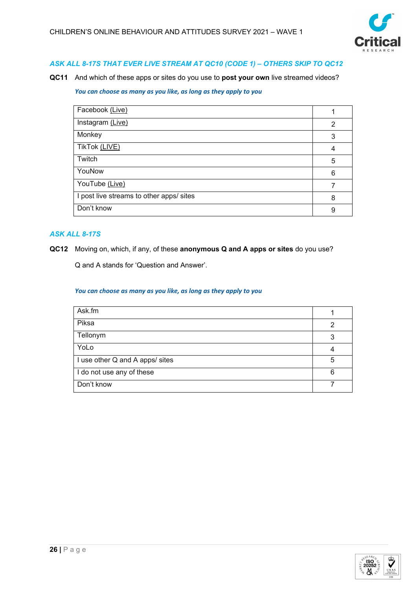

# *ASK ALL 8-17S THAT EVER LIVE STREAM AT QC10 (CODE 1) – OTHERS SKIP TO QC12*

**QC11** And which of these apps or sites do you use to **post your own** live streamed videos?

# *You can choose as many as you like, as long as they apply to you*

| Facebook (Live)                          |   |
|------------------------------------------|---|
| Instagram (Live)                         | 2 |
| Monkey                                   | 3 |
| TikTok (LIVE)                            | 4 |
| Twitch                                   | 5 |
| YouNow                                   | 6 |
| YouTube (Live)                           |   |
| I post live streams to other apps/ sites | 8 |
| Don't know                               | 9 |

# *ASK ALL 8-17S*

**QC12** Moving on, which, if any, of these **anonymous Q and A apps or sites** do you use?

Q and A stands for 'Question and Answer'.

| Ask.fm                          |   |
|---------------------------------|---|
| Piksa                           | 2 |
| Tellonym                        | 3 |
| YoLo                            |   |
| I use other Q and A apps/ sites | 5 |
| I do not use any of these       | 6 |
| Don't know                      |   |

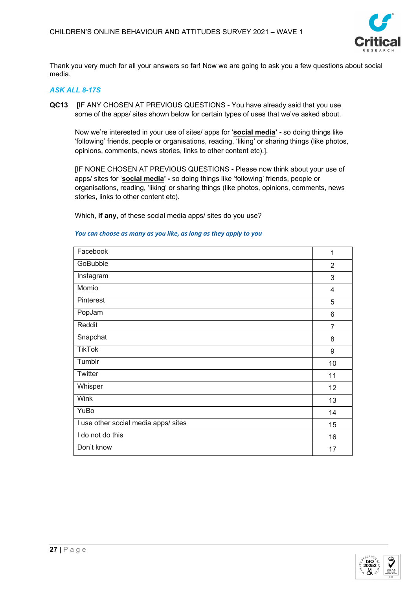

Thank you very much for all your answers so far! Now we are going to ask you a few questions about social media.

# *ASK ALL 8-17S*

**QC13** [IF ANY CHOSEN AT PREVIOUS QUESTIONS - You have already said that you use some of the apps/ sites shown below for certain types of uses that we've asked about.

Now we're interested in your use of sites/ apps for '**social media' -** so doing things like 'following' friends, people or organisations, reading, 'liking' or sharing things (like photos, opinions, comments, news stories, links to other content etc).].

[IF NONE CHOSEN AT PREVIOUS QUESTIONS **-** Please now think about your use of apps/ sites for '**social media' -** so doing things like 'following' friends, people or organisations, reading, 'liking' or sharing things (like photos, opinions, comments, news stories, links to other content etc).

Which, **if any**, of these social media apps/ sites do you use?

# Facebook 1 GoBubble 2012 2013 2014 2022 2023 2024 2025 2026 2027 2028 2029 2020 2021 2022 20 Instagram 3 Momio 4 Pinterest **1996** September 2006 September 2006 September 2006 September 2006 September 2006 September 2006 September 2006 September 2006 September 2006 September 2006 September 2006 September 2006 September 2006 September PopJam 6 Reddit Francesco Communication of the Communication of the Communication of the Communication of the Communication of the Communication of the Communication of the Communication of the Communication of the Communication of Snapchat 8 TikTok 9 Tumblr 10 Twitter 11 Whisper 2012 - 2014 12:30 12:30 12:30 12:30 12:30 12:30 12:30 12:30 12:30 12:30 12:30 12:30 12:30 12:30 12:30 Wink 13 YuBo 14 I use other social media apps/ sites 15 and 15 and 15 and 15 and 15 and 15 and 15 and 15 and 15 and 15 and 15 and 15 and 15 and 15 and 15 and 15 and 15 and 15 and 15 and 15 and 15 and 15 and 16 and 16 and 16 and 16 and 16 I do not do this **16 and 16** and 16 and 16 and 16 and 16 and 16 and 16 and 16 and 16 and 16 and 16 and 16 and 16 and 16 and 16 and 16 and 16 and 16 and 16 and 16 and 16 and 16 and 16 and 16 and 16 and 16 and 16 and 16 and Don't know the contract of the contract of the contract of the contract of the contract of the contract of the contract of the contract of the contract of the contract of the contract of the contract of the contract of the

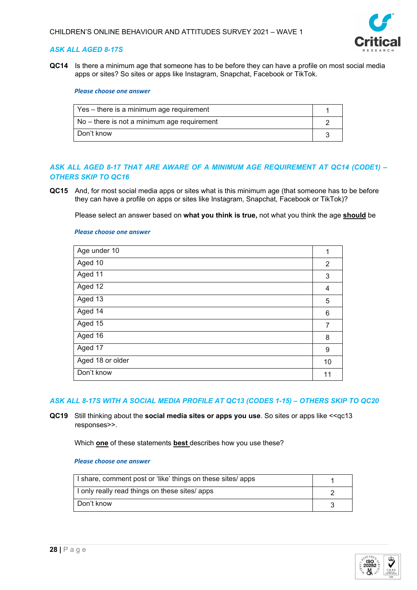

# *ASK ALL AGED 8-17S*

**QC14** Is there a minimum age that someone has to be before they can have a profile on most social media apps or sites? So sites or apps like Instagram, Snapchat, Facebook or TikTok.

#### *Please choose one answer*

| Yes – there is a minimum age requirement    |  |
|---------------------------------------------|--|
| No – there is not a minimum age requirement |  |
| Don't know                                  |  |

# *ASK ALL AGED 8-17 THAT ARE AWARE OF A MINIMUM AGE REQUIREMENT AT QC14 (CODE1) – OTHERS SKIP TO QC16*

**QC15** And, for most social media apps or sites what is this minimum age (that someone has to be before they can have a profile on apps or sites like Instagram, Snapchat, Facebook or TikTok)?

Please select an answer based on **what you think is true,** not what you think the age **should** be

#### *Please choose one answer*

| Age under 10     | 1  |
|------------------|----|
| Aged 10          | 2  |
| Aged 11          | 3  |
| Aged 12          | 4  |
| Aged 13          | 5  |
| Aged 14          | 6  |
| Aged 15          | 7  |
| Aged 16          | 8  |
| Aged 17          | 9  |
| Aged 18 or older | 10 |
| Don't know       | 11 |
|                  |    |

# *ASK ALL 8-17S WITH A SOCIAL MEDIA PROFILE AT QC13 (CODES 1-15) – OTHERS SKIP TO QC20*

**QC19** Still thinking about the **social media sites or apps you use**. So sites or apps like <<qc13 responses>>.

Which **one** of these statements **best** describes how you use these?

| I share, comment post or 'like' things on these sites/ apps |  |
|-------------------------------------------------------------|--|
| I only really read things on these sites/ apps              |  |
| Don't know                                                  |  |

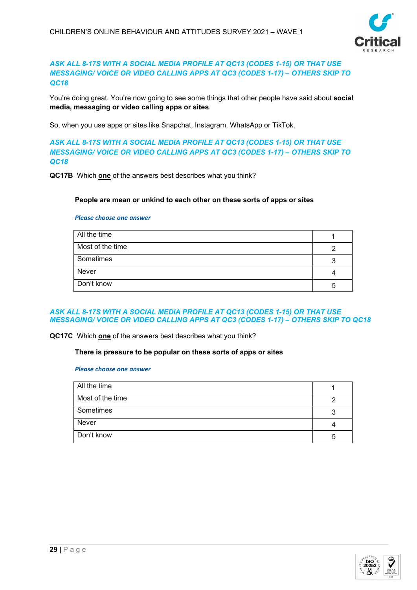

# *ASK ALL 8-17S WITH A SOCIAL MEDIA PROFILE AT QC13 (CODES 1-15) OR THAT USE MESSAGING/ VOICE OR VIDEO CALLING APPS AT QC3 (CODES 1-17) – OTHERS SKIP TO QC18*

You're doing great. You're now going to see some things that other people have said about **social media, messaging or video calling apps or sites**.

So, when you use apps or sites like Snapchat, Instagram, WhatsApp or TikTok.

*ASK ALL 8-17S WITH A SOCIAL MEDIA PROFILE AT QC13 (CODES 1-15) OR THAT USE MESSAGING/ VOICE OR VIDEO CALLING APPS AT QC3 (CODES 1-17) – OTHERS SKIP TO QC18*

**QC17B** Which **one** of the answers best describes what you think?

# **People are mean or unkind to each other on these sorts of apps or sites**

#### *Please choose one answer*

| All the time     |    |
|------------------|----|
| Most of the time |    |
| Sometimes        |    |
| Never            |    |
| Don't know       | :5 |

# *ASK ALL 8-17S WITH A SOCIAL MEDIA PROFILE AT QC13 (CODES 1-15) OR THAT USE MESSAGING/ VOICE OR VIDEO CALLING APPS AT QC3 (CODES 1-17) – OTHERS SKIP TO QC18*

**QC17C** Which **one** of the answers best describes what you think?

#### **There is pressure to be popular on these sorts of apps or sites**

| All the time     |   |
|------------------|---|
| Most of the time |   |
| Sometimes        |   |
| Never            |   |
| Don't know       | 5 |

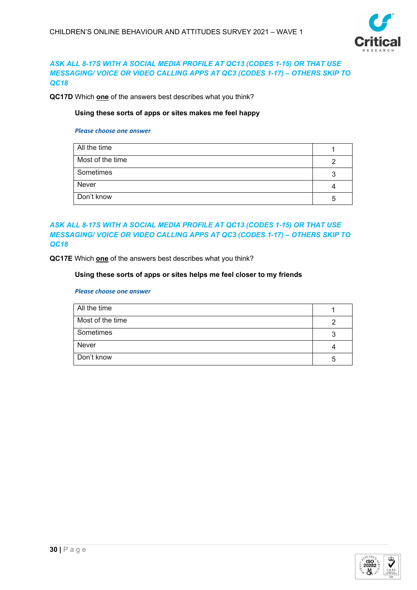

# *ASK ALL 8-17S WITH A SOCIAL MEDIA PROFILE AT QC13 (CODES 1-15) OR THAT USE MESSAGING/ VOICE OR VIDEO CALLING APPS AT QC3 (CODES 1-17) – OTHERS SKIP TO QC18*

**QC17D** Which **one** of the answers best describes what you think?

# **Using these sorts of apps or sites makes me feel happy**

#### *Please choose one answer*

| All the time     |   |
|------------------|---|
| Most of the time |   |
| Sometimes        |   |
| Never            |   |
| Don't know       | 5 |

# *ASK ALL 8-17S WITH A SOCIAL MEDIA PROFILE AT QC13 (CODES 1-15) OR THAT USE MESSAGING/ VOICE OR VIDEO CALLING APPS AT QC3 (CODES 1-17) – OTHERS SKIP TO QC18*

**QC17E** Which **one** of the answers best describes what you think?

# **Using these sorts of apps or sites helps me feel closer to my friends**

| All the time     |    |
|------------------|----|
| Most of the time |    |
| Sometimes        |    |
| Never            |    |
| Don't know       | :5 |

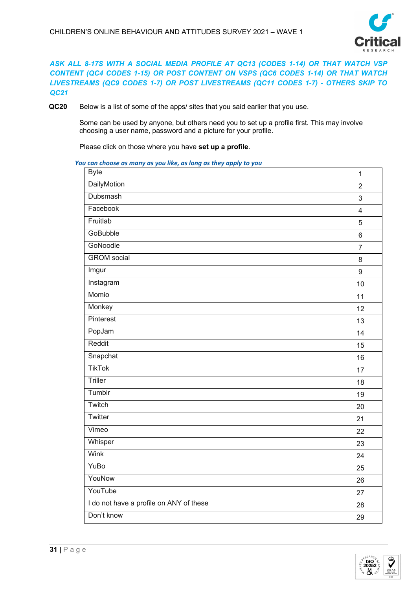

*ASK ALL 8-17S WITH A SOCIAL MEDIA PROFILE AT QC13 (CODES 1-14) OR THAT WATCH VSP CONTENT (QC4 CODES 1-15) OR POST CONTENT ON VSPS (QC6 CODES 1-14) OR THAT WATCH LIVESTREAMS (QC9 CODES 1-7) OR POST LIVESTREAMS (QC11 CODES 1-7) - OTHERS SKIP TO QC21*

**QC20** Below is a list of some of the apps/ sites that you said earlier that you use.

Some can be used by anyone, but others need you to set up a profile first. This may involve choosing a user name, password and a picture for your profile.

Please click on those where you have **set up a profile**.

| <b>Byte</b>                             | $\mathbf{1}$   |
|-----------------------------------------|----------------|
| DailyMotion                             | $\overline{2}$ |
| <b>Dubsmash</b>                         | $\mathfrak{S}$ |
| Facebook                                | $\overline{4}$ |
| Fruitlab                                | 5              |
| <b>GoBubble</b>                         | $6\phantom{a}$ |
| GoNoodle                                | $\overline{7}$ |
| <b>GROM</b> social                      | 8              |
| Imgur                                   | $9\,$          |
| Instagram                               | 10             |
| Momio                                   | 11             |
| Monkey                                  | 12             |
| Pinterest                               | 13             |
| PopJam                                  | 14             |
| Reddit                                  | 15             |
| Snapchat                                | 16             |
| <b>TikTok</b>                           | 17             |
| Triller                                 | 18             |
| Tumblr                                  | 19             |
| Twitch                                  | 20             |
| Twitter                                 | 21             |
| Vimeo                                   | 22             |
| Whisper                                 | 23             |
| Wink                                    | 24             |
| YuBo                                    | 25             |
| YouNow                                  | 26             |
| YouTube                                 | 27             |
| I do not have a profile on ANY of these | 28             |
| Don't know                              | 29             |

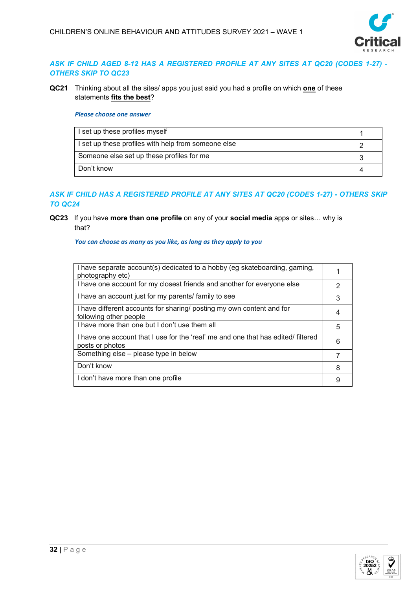

# *ASK IF CHILD AGED 8-12 HAS A REGISTERED PROFILE AT ANY SITES AT QC20 (CODES 1-27) - OTHERS SKIP TO QC23*

**QC21** Thinking about all the sites/ apps you just said you had a profile on which **one** of these statements **fits the best**?

#### *Please choose one answer*

| I set up these profiles myself                      |  |
|-----------------------------------------------------|--|
| I set up these profiles with help from someone else |  |
| Someone else set up these profiles for me           |  |
| Don't know                                          |  |

# *ASK IF CHILD HAS A REGISTERED PROFILE AT ANY SITES AT QC20 (CODES 1-27) - OTHERS SKIP TO QC24*

# **QC23** If you have **more than one profile** on any of your **social media** apps or sites… why is that?

| I have separate account(s) dedicated to a hobby (eg skateboarding, gaming,<br>photography etc)       |   |
|------------------------------------------------------------------------------------------------------|---|
| I have one account for my closest friends and another for everyone else                              | 2 |
| I have an account just for my parents/ family to see                                                 | 3 |
| I have different accounts for sharing/ posting my own content and for<br>following other people      | 4 |
| I have more than one but I don't use them all                                                        | 5 |
| I have one account that I use for the 'real' me and one that has edited/ filtered<br>posts or photos | 6 |
| Something else - please type in below                                                                |   |
| Don't know                                                                                           | 8 |
| I don't have more than one profile                                                                   |   |

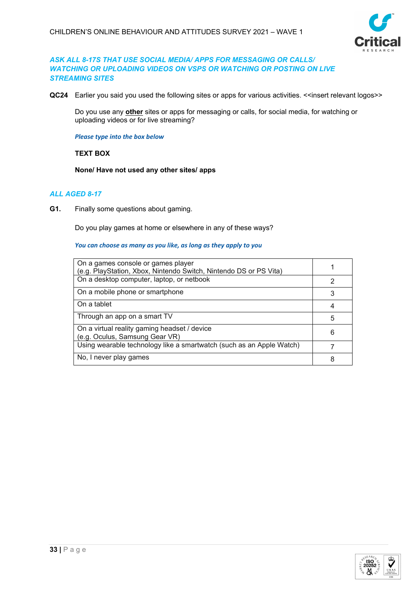

# *ASK ALL 8-17S THAT USE SOCIAL MEDIA/ APPS FOR MESSAGING OR CALLS/ WATCHING OR UPLOADING VIDEOS ON VSPS OR WATCHING OR POSTING ON LIVE STREAMING SITES*

QC24 Earlier you said you used the following sites or apps for various activities. <<insert relevant logos>>

Do you use any **other** sites or apps for messaging or calls, for social media, for watching or uploading videos or for live streaming?

*Please type into the box below*

#### **TEXT BOX**

**None/ Have not used any other sites/ apps**

# *ALL AGED 8-17*

**G1.** Finally some questions about gaming.

Do you play games at home or elsewhere in any of these ways?

| On a games console or games player<br>(e.g. PlayStation, Xbox, Nintendo Switch, Nintendo DS or PS Vita) |   |
|---------------------------------------------------------------------------------------------------------|---|
| On a desktop computer, laptop, or netbook                                                               |   |
| On a mobile phone or smartphone                                                                         | 3 |
| On a tablet                                                                                             |   |
| Through an app on a smart TV                                                                            | 5 |
| On a virtual reality gaming headset / device<br>(e.g. Oculus, Samsung Gear VR)                          | 6 |
| Using wearable technology like a smartwatch (such as an Apple Watch)                                    |   |
| No, I never play games                                                                                  |   |

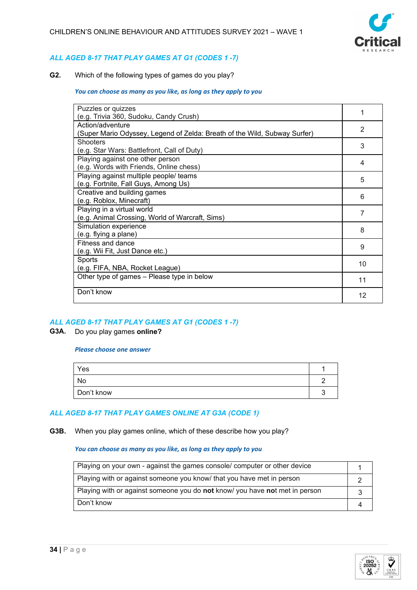

# *ALL AGED 8-17 THAT PLAY GAMES AT G1 (CODES 1 -7)*

**G2.** Which of the following types of games do you play?

#### *You can choose as many as you like, as long as they apply to you*

| Puzzles or quizzes                                                        |    |
|---------------------------------------------------------------------------|----|
| (e.g. Trivia 360, Sudoku, Candy Crush)                                    |    |
| Action/adventure                                                          | 2  |
| (Super Mario Odyssey, Legend of Zelda: Breath of the Wild, Subway Surfer) |    |
| <b>Shooters</b>                                                           | 3  |
| (e.g. Star Wars: Battlefront, Call of Duty)                               |    |
| Playing against one other person                                          | 4  |
| (e.g. Words with Friends, Online chess)                                   |    |
| Playing against multiple people/ teams                                    | 5  |
| (e.g. Fortnite, Fall Guys, Among Us)                                      |    |
| Creative and building games                                               | 6  |
| (e.g. Roblox, Minecraft)                                                  |    |
| Playing in a virtual world                                                |    |
| (e.g. Animal Crossing, World of Warcraft, Sims)                           | 7  |
| Simulation experience                                                     | 8  |
| (e.g. flying a plane)                                                     |    |
| Fitness and dance                                                         |    |
| (e.g. Wii Fit, Just Dance etc.)                                           | 9  |
| Sports                                                                    |    |
| (e.g. FIFA, NBA, Rocket League)                                           | 10 |
| Other type of games - Please type in below                                | 11 |
|                                                                           |    |
| Don't know                                                                | 12 |
|                                                                           |    |

# *ALL AGED 8-17 THAT PLAY GAMES AT G1 (CODES 1 -7)*

#### **G3A.** Do you play games **online?**

#### *Please choose one answer*

| Yes        |  |
|------------|--|
| No         |  |
| Don't know |  |

# *ALL AGED 8-17 THAT PLAY GAMES ONLINE AT G3A (CODE 1)*

**G3B.** When you play games online, which of these describe how you play?

| Playing on your own - against the games console/ computer or other device                 |  |
|-------------------------------------------------------------------------------------------|--|
| Playing with or against someone you know/ that you have met in person                     |  |
| Playing with or against someone you do <b>not</b> know/ you have <b>not</b> met in person |  |
| Don't know                                                                                |  |

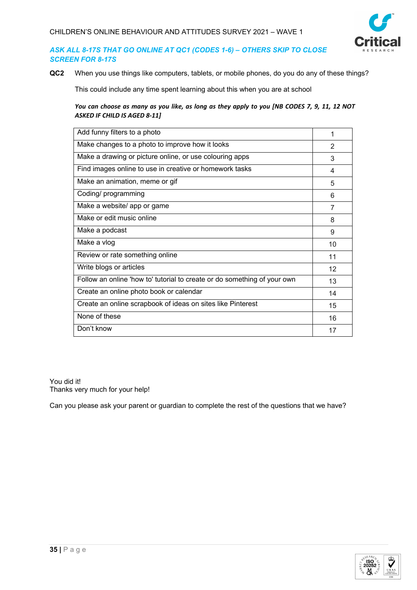

# *ASK ALL 8-17S THAT GO ONLINE AT QC1 (CODES 1-6) – OTHERS SKIP TO CLOSE SCREEN FOR 8-17S*

**QC2** When you use things like computers, tablets, or mobile phones, do you do any of these things?

This could include any time spent learning about this when you are at school

*You can choose as many as you like, as long as they apply to you [NB CODES 7, 9, 11, 12 NOT ASKED IF CHILD IS AGED 8-11]* 

| Add funny filters to a photo                                             | 1             |
|--------------------------------------------------------------------------|---------------|
| Make changes to a photo to improve how it looks                          | $\mathcal{P}$ |
| Make a drawing or picture online, or use colouring apps                  | 3             |
| Find images online to use in creative or homework tasks                  | 4             |
| Make an animation, meme or gif                                           | 5             |
| Coding/ programming                                                      | 6             |
| Make a website/ app or game                                              | 7             |
| Make or edit music online                                                | 8             |
| Make a podcast                                                           | 9             |
| Make a vlog                                                              | 10            |
| Review or rate something online                                          | 11            |
| Write blogs or articles                                                  | 12            |
| Follow an online 'how to' tutorial to create or do something of your own | 13            |
| Create an online photo book or calendar                                  | 14            |
| Create an online scrapbook of ideas on sites like Pinterest              | 15            |
| None of these                                                            | 16            |
| Don't know                                                               | 17            |

You did it! Thanks very much for your help!

Can you please ask your parent or guardian to complete the rest of the questions that we have?

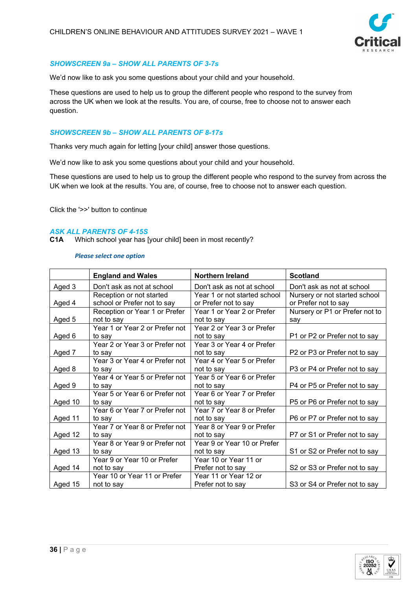

# *SHOWSCREEN 9a – SHOW ALL PARENTS OF 3-7s*

We'd now like to ask you some questions about your child and your household.

These questions are used to help us to group the different people who respond to the survey from across the UK when we look at the results. You are, of course, free to choose not to answer each question.

# *SHOWSCREEN 9b – SHOW ALL PARENTS OF 8-17s*

Thanks very much again for letting [your child] answer those questions.

We'd now like to ask you some questions about your child and your household.

These questions are used to help us to group the different people who respond to the survey from across the UK when we look at the results. You are, of course, free to choose not to answer each question.

Click the '>>' button to continue

# *ASK ALL PARENTS OF 4-15S*

**C1A** Which school year has [your child] been in most recently?

|         | <b>England and Wales</b>                                | Northern Ireland                                     | <b>Scotland</b>                                       |
|---------|---------------------------------------------------------|------------------------------------------------------|-------------------------------------------------------|
| Aged 3  | Don't ask as not at school                              | Don't ask as not at school                           | Don't ask as not at school                            |
| Aged 4  | Reception or not started<br>school or Prefer not to say | Year 1 or not started school<br>or Prefer not to say | Nursery or not started school<br>or Prefer not to say |
|         | Reception or Year 1 or Prefer                           | Year 1 or Year 2 or Prefer                           | Nursery or P1 or Prefer not to                        |
| Aged 5  | not to say                                              | not to say                                           | say                                                   |
|         | not to say<br>Year 1 or Year 2 or Prefer not            | Year 2 or Year 3 or Prefer                           |                                                       |
| Aged 6  | to say                                                  | not to say                                           | P1 or P2 or Prefer not to say                         |
|         | Year 2 or Year 3 or Prefer not                          | Year 3 or Year 4 or Prefer                           |                                                       |
| Aged 7  | to say                                                  | not to say                                           | P2 or P3 or Prefer not to say                         |
|         | Year 3 or Year 4 or Prefer not                          | Year 4 or Year 5 or Prefer                           |                                                       |
| Aged 8  | to say                                                  | not to say                                           | P3 or P4 or Prefer not to say                         |
|         | Year 4 or Year 5 or Prefer not                          | Year 5 or Year 6 or Prefer                           |                                                       |
| Aged 9  | to say                                                  | not to say                                           | P4 or P5 or Prefer not to say                         |
|         | Year 5 or Year 6 or Prefer not                          | Year 6 or Year 7 or Prefer                           |                                                       |
| Aged 10 | to say                                                  | not to say                                           | P5 or P6 or Prefer not to say                         |
| Aged 11 | Year 6 or Year 7 or Prefer not<br>to say                | Year 7 or Year 8 or Prefer<br>not to say             | P6 or P7 or Prefer not to say                         |
|         | Year 7 or Year 8 or Prefer not                          | Year 8 or Year 9 or Prefer                           |                                                       |
| Aged 12 | to say                                                  | not to say                                           | P7 or S1 or Prefer not to say                         |
|         | Year 8 or Year 9 or Prefer not                          | Year 9 or Year 10 or Prefer                          |                                                       |
| Aged 13 | to sav                                                  | not to say                                           | S1 or S2 or Prefer not to say                         |
|         | Year 9 or Year 10 or Prefer                             | Year 10 or Year 11 or                                |                                                       |
| Aged 14 | not to say                                              | Prefer not to say                                    | S2 or S3 or Prefer not to say                         |
|         | Year 10 or Year 11 or Prefer                            | Year 11 or Year 12 or                                |                                                       |
| Aged 15 | not to say                                              | Prefer not to say                                    | S3 or S4 or Prefer not to say                         |

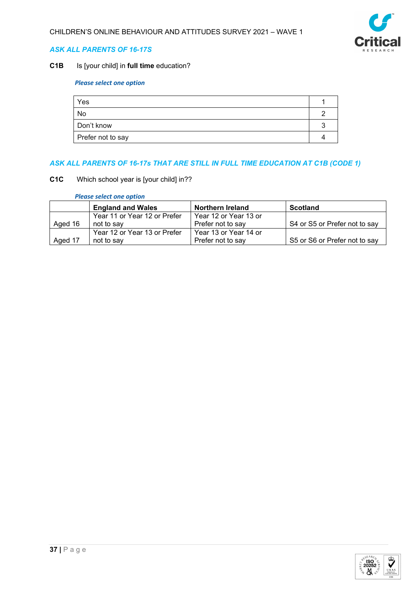

# *ASK ALL PARENTS OF 16-17S*

# **C1B** Is [your child] in **full time** education?

# *Please select one option*

| Yes               |  |
|-------------------|--|
| No                |  |
| Don't know        |  |
| Prefer not to say |  |

# *ASK ALL PARENTS OF 16-17s THAT ARE STILL IN FULL TIME EDUCATION AT C1B (CODE 1)*

**C1C** Which school year is [your child] in??

|         | <b>England and Wales</b>     | <b>Northern Ireland</b> | <b>Scotland</b>               |
|---------|------------------------------|-------------------------|-------------------------------|
|         | Year 11 or Year 12 or Prefer | Year 12 or Year 13 or   |                               |
| Aged 16 | not to say                   | Prefer not to say       | S4 or S5 or Prefer not to say |
|         | Year 12 or Year 13 or Prefer | Year 13 or Year 14 or   |                               |
| Aged 17 | not to say                   | Prefer not to say       | S5 or S6 or Prefer not to say |

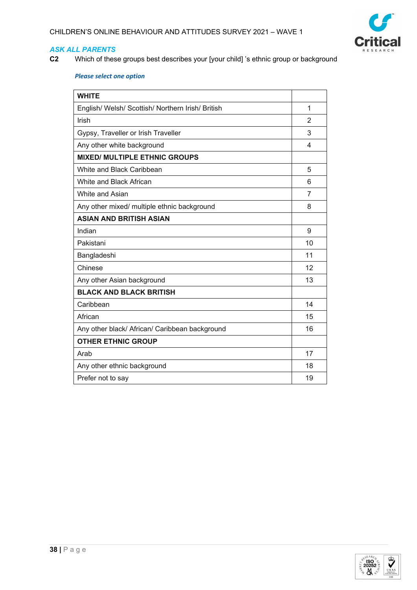

**C2** Which of these groups best describes your [your child] 's ethnic group or background

| <b>WHITE</b>                                      |                |
|---------------------------------------------------|----------------|
| English/ Welsh/ Scottish/ Northern Irish/ British | 1              |
| Irish                                             | $\overline{2}$ |
| Gypsy, Traveller or Irish Traveller               | 3              |
| Any other white background                        | 4              |
| <b>MIXED/ MULTIPLE ETHNIC GROUPS</b>              |                |
| White and Black Caribbean                         | 5              |
| White and Black African                           | 6              |
| White and Asian                                   | 7              |
| Any other mixed/ multiple ethnic background       | 8              |
| <b>ASIAN AND BRITISH ASIAN</b>                    |                |
| Indian                                            | 9              |
| Pakistani                                         | 10             |
| Bangladeshi                                       | 11             |
| Chinese                                           | 12             |
| Any other Asian background                        | 13             |
| <b>BLACK AND BLACK BRITISH</b>                    |                |
| Caribbean                                         | 14             |
| African                                           | 15             |
| Any other black/ African/ Caribbean background    | 16             |
| <b>OTHER ETHNIC GROUP</b>                         |                |
| Arab                                              | 17             |
| Any other ethnic background                       | 18             |
| Prefer not to say                                 | 19             |

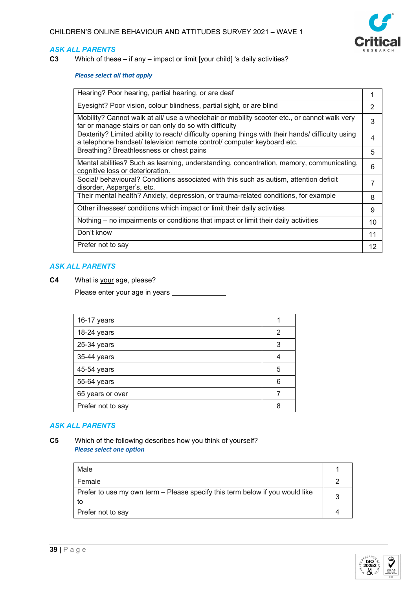

**C3** Which of these – if any – impact or limit [your child] 's daily activities?

## *Please select all that apply*

| Eyesight? Poor vision, colour blindness, partial sight, or are blind<br>Mobility? Cannot walk at all/ use a wheelchair or mobility scooter etc., or cannot walk very<br>3<br>far or manage stairs or can only do so with difficulty<br>Dexterity? Limited ability to reach/ difficulty opening things with their hands/ difficulty using<br>a telephone handset/ television remote control/ computer keyboard etc.<br>Breathing? Breathlessness or chest pains<br>5<br>Mental abilities? Such as learning, understanding, concentration, memory, communicating,<br>6<br>cognitive loss or deterioration.<br>Social/ behavioural? Conditions associated with this such as autism, attention deficit<br>disorder, Asperger's, etc.<br>Their mental health? Anxiety, depression, or trauma-related conditions, for example<br>8<br>Other illnesses/ conditions which impact or limit their daily activities<br>9<br>Nothing – no impairments or conditions that impact or limit their daily activities<br>10<br>Don't know<br>11<br>Prefer not to say<br>12 |                                                     |  |
|----------------------------------------------------------------------------------------------------------------------------------------------------------------------------------------------------------------------------------------------------------------------------------------------------------------------------------------------------------------------------------------------------------------------------------------------------------------------------------------------------------------------------------------------------------------------------------------------------------------------------------------------------------------------------------------------------------------------------------------------------------------------------------------------------------------------------------------------------------------------------------------------------------------------------------------------------------------------------------------------------------------------------------------------------------|-----------------------------------------------------|--|
|                                                                                                                                                                                                                                                                                                                                                                                                                                                                                                                                                                                                                                                                                                                                                                                                                                                                                                                                                                                                                                                          | Hearing? Poor hearing, partial hearing, or are deaf |  |
|                                                                                                                                                                                                                                                                                                                                                                                                                                                                                                                                                                                                                                                                                                                                                                                                                                                                                                                                                                                                                                                          |                                                     |  |
|                                                                                                                                                                                                                                                                                                                                                                                                                                                                                                                                                                                                                                                                                                                                                                                                                                                                                                                                                                                                                                                          |                                                     |  |
|                                                                                                                                                                                                                                                                                                                                                                                                                                                                                                                                                                                                                                                                                                                                                                                                                                                                                                                                                                                                                                                          |                                                     |  |
|                                                                                                                                                                                                                                                                                                                                                                                                                                                                                                                                                                                                                                                                                                                                                                                                                                                                                                                                                                                                                                                          |                                                     |  |
|                                                                                                                                                                                                                                                                                                                                                                                                                                                                                                                                                                                                                                                                                                                                                                                                                                                                                                                                                                                                                                                          |                                                     |  |
|                                                                                                                                                                                                                                                                                                                                                                                                                                                                                                                                                                                                                                                                                                                                                                                                                                                                                                                                                                                                                                                          |                                                     |  |
|                                                                                                                                                                                                                                                                                                                                                                                                                                                                                                                                                                                                                                                                                                                                                                                                                                                                                                                                                                                                                                                          |                                                     |  |
|                                                                                                                                                                                                                                                                                                                                                                                                                                                                                                                                                                                                                                                                                                                                                                                                                                                                                                                                                                                                                                                          |                                                     |  |
|                                                                                                                                                                                                                                                                                                                                                                                                                                                                                                                                                                                                                                                                                                                                                                                                                                                                                                                                                                                                                                                          |                                                     |  |
|                                                                                                                                                                                                                                                                                                                                                                                                                                                                                                                                                                                                                                                                                                                                                                                                                                                                                                                                                                                                                                                          |                                                     |  |
|                                                                                                                                                                                                                                                                                                                                                                                                                                                                                                                                                                                                                                                                                                                                                                                                                                                                                                                                                                                                                                                          |                                                     |  |

### *ASK ALL PARENTS*

**C4** What is your age, please?

Please enter your age in years \_

| 16-17 years       |   |
|-------------------|---|
| 18-24 years       | 2 |
| 25-34 years       | 3 |
| 35-44 years       |   |
| 45-54 years       | 5 |
| 55-64 years       | 6 |
| 65 years or over  |   |
| Prefer not to say |   |

# *ASK ALL PARENTS*

**C5** Which of the following describes how you think of yourself? *Please select one option*

| Male                                                                               |  |
|------------------------------------------------------------------------------------|--|
| Female                                                                             |  |
| Prefer to use my own term – Please specify this term below if you would like<br>to |  |
| Prefer not to say                                                                  |  |

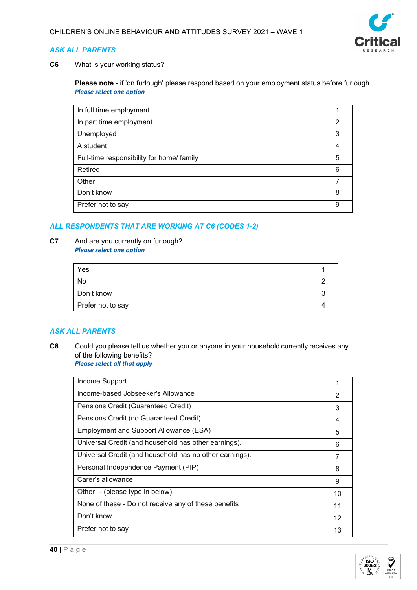

**C6** What is your working status?

**Please note** - if 'on furlough' please respond based on your employment status before furlough *Please select one option*

| In full time employment                   |   |
|-------------------------------------------|---|
| In part time employment                   | 2 |
| Unemployed                                | 3 |
| A student                                 | 4 |
| Full-time responsibility for home/ family | 5 |
| Retired                                   | 6 |
| Other                                     |   |
| Don't know                                | 8 |
| Prefer not to say                         | 9 |

# *ALL RESPONDENTS THAT ARE WORKING AT C6 (CODES 1-2)*

**C7** And are you currently on furlough? *Please select one option*

| Yes               |  |
|-------------------|--|
| No                |  |
| Don't know        |  |
| Prefer not to say |  |

# *ASK ALL PARENTS*

**C8** Could you please tell us whether you or anyone in your household currently receives any of the following benefits?   *Please select all that apply*

| Income Support                                          |    |
|---------------------------------------------------------|----|
| Income-based Jobseeker's Allowance                      | 2  |
| Pensions Credit (Guaranteed Credit)                     | 3  |
| Pensions Credit (no Guaranteed Credit)                  | 4  |
| Employment and Support Allowance (ESA)                  | 5  |
| Universal Credit (and household has other earnings).    | 6  |
| Universal Credit (and household has no other earnings). |    |
| Personal Independence Payment (PIP)                     | 8  |
| Carer's allowance                                       | 9  |
| Other - (please type in below)                          | 10 |
| None of these - Do not receive any of these benefits    | 11 |
| Don't know                                              | 12 |
| Prefer not to say                                       | 13 |